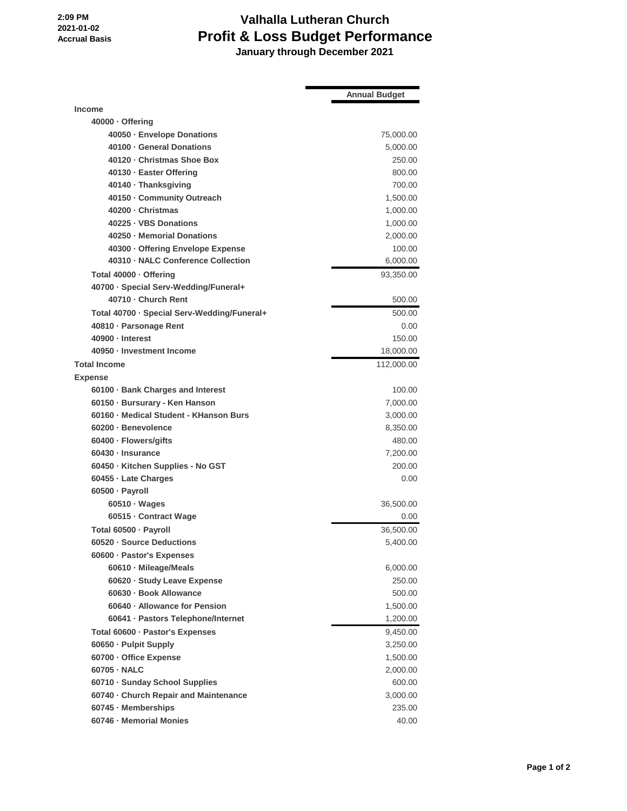**2:09 PM 2021-01-02 Accrual Basis**

## **Valhalla Lutheran Church Profit & Loss Budget Performance January through December 2021**

|                                             | <b>Annual Budget</b> |
|---------------------------------------------|----------------------|
| <b>Income</b>                               |                      |
| 40000 · Offering                            |                      |
| 40050 · Envelope Donations                  | 75,000.00            |
| 40100 · General Donations                   | 5,000.00             |
| 40120 · Christmas Shoe Box                  | 250.00               |
| 40130 · Easter Offering                     | 800.00               |
| 40140 · Thanksgiving                        | 700.00               |
| 40150 - Community Outreach                  | 1,500.00             |
| 40200 · Christmas                           | 1,000.00             |
| 40225 · VBS Donations                       | 1,000.00             |
| 40250 - Memorial Donations                  | 2,000.00             |
| 40300 · Offering Envelope Expense           | 100.00               |
| 40310 - NALC Conference Collection          | 6,000.00             |
| Total 40000 · Offering                      | 93,350.00            |
| 40700 · Special Serv-Wedding/Funeral+       |                      |
| 40710 - Church Rent                         | 500.00               |
| Total 40700 · Special Serv-Wedding/Funeral+ | 500.00               |
| 40810 · Parsonage Rent                      | 0.00                 |
| 40900 - Interest                            | 150.00               |
| 40950 - Investment Income                   | 18,000.00            |
| <b>Total Income</b>                         | 112,000.00           |
| <b>Expense</b>                              |                      |
| 60100 · Bank Charges and Interest           | 100.00               |
| 60150 · Bursurary - Ken Hanson              | 7,000.00             |
| 60160 - Medical Student - KHanson Burs      | 3,000.00             |
| 60200 · Benevolence                         | 8,350.00             |
| 60400 · Flowers/gifts                       | 480.00               |
| 60430 · Insurance                           | 7,200.00             |
| 60450 · Kitchen Supplies - No GST           | 200.00               |
| 60455 · Late Charges                        | 0.00                 |
| 60500 · Payroll                             |                      |
| 60510 · Wages                               | 36,500.00            |
| 60515 - Contract Wage                       | 0.00                 |
| Total 60500 · Payroll                       | 36,500.00            |
| 60520 · Source Deductions                   | 5,400.00             |
| 60600 · Pastor's Expenses                   |                      |
| 60610 · Mileage/Meals                       | 6,000.00             |
| 60620 · Study Leave Expense                 | 250.00               |
| 60630 · Book Allowance                      | 500.00               |
| 60640 · Allowance for Pension               | 1,500.00             |
| 60641 · Pastors Telephone/Internet          | 1,200.00             |
| Total 60600 · Pastor's Expenses             | 9,450.00             |
| 60650 - Pulpit Supply                       | 3,250.00             |
| 60700 - Office Expense                      | 1,500.00             |
| 60705 - NALC                                | 2,000.00             |
| 60710 · Sunday School Supplies              | 600.00               |
| 60740 · Church Repair and Maintenance       | 3,000.00             |
| 60745 - Memberships                         | 235.00               |
| 60746 - Memorial Monies                     | 40.00                |